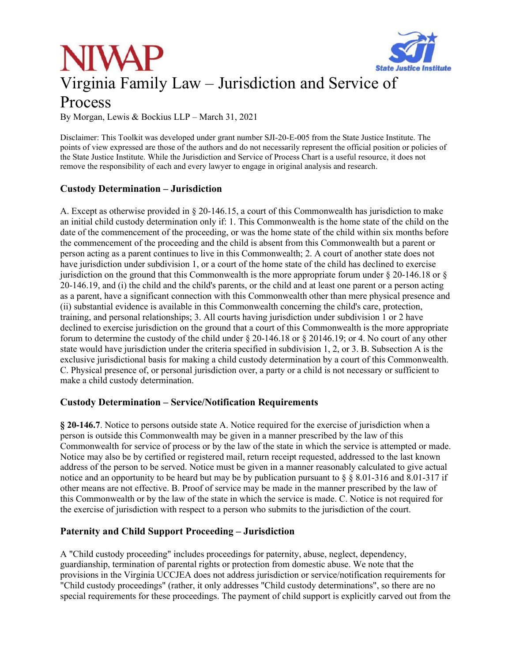



By Morgan, Lewis & Bockius LLP – March 31, 2021

Disclaimer: This Toolkit was developed under grant number SJI-20-E-005 from the State Justice Institute. The points of view expressed are those of the authors and do not necessarily represent the official position or policies of the State Justice Institute. While the Jurisdiction and Service of Process Chart is a useful resource, it does not remove the responsibility of each and every lawyer to engage in original analysis and research.

#### **Custody Determination – Jurisdiction**

A. Except as otherwise provided in § 20-146.15, a court of this Commonwealth has jurisdiction to make an initial child custody determination only if: 1. This Commonwealth is the home state of the child on the date of the commencement of the proceeding, or was the home state of the child within six months before the commencement of the proceeding and the child is absent from this Commonwealth but a parent or person acting as a parent continues to live in this Commonwealth; 2. A court of another state does not have jurisdiction under subdivision 1, or a court of the home state of the child has declined to exercise jurisdiction on the ground that this Commonwealth is the more appropriate forum under § 20-146.18 or § 20-146.19, and (i) the child and the child's parents, or the child and at least one parent or a person acting as a parent, have a significant connection with this Commonwealth other than mere physical presence and (ii) substantial evidence is available in this Commonwealth concerning the child's care, protection, training, and personal relationships; 3. All courts having jurisdiction under subdivision 1 or 2 have declined to exercise jurisdiction on the ground that a court of this Commonwealth is the more appropriate forum to determine the custody of the child under § 20-146.18 or § 20146.19; or 4. No court of any other state would have jurisdiction under the criteria specified in subdivision 1, 2, or 3. B. Subsection A is the exclusive jurisdictional basis for making a child custody determination by a court of this Commonwealth. C. Physical presence of, or personal jurisdiction over, a party or a child is not necessary or sufficient to make a child custody determination.

#### **Custody Determination – Service/Notification Requirements**

**§ 20-146.7**. Notice to persons outside state A. Notice required for the exercise of jurisdiction when a person is outside this Commonwealth may be given in a manner prescribed by the law of this Commonwealth for service of process or by the law of the state in which the service is attempted or made. Notice may also be by certified or registered mail, return receipt requested, addressed to the last known address of the person to be served. Notice must be given in a manner reasonably calculated to give actual notice and an opportunity to be heard but may be by publication pursuant to § § 8.01-316 and 8.01-317 if other means are not effective. B. Proof of service may be made in the manner prescribed by the law of this Commonwealth or by the law of the state in which the service is made. C. Notice is not required for the exercise of jurisdiction with respect to a person who submits to the jurisdiction of the court.

## **Paternity and Child Support Proceeding – Jurisdiction**

A "Child custody proceeding" includes proceedings for paternity, abuse, neglect, dependency, guardianship, termination of parental rights or protection from domestic abuse. We note that the provisions in the Virginia UCCJEA does not address jurisdiction or service/notification requirements for "Child custody proceedings" (rather, it only addresses "Child custody determinations", so there are no special requirements for these proceedings. The payment of child support is explicitly carved out from the